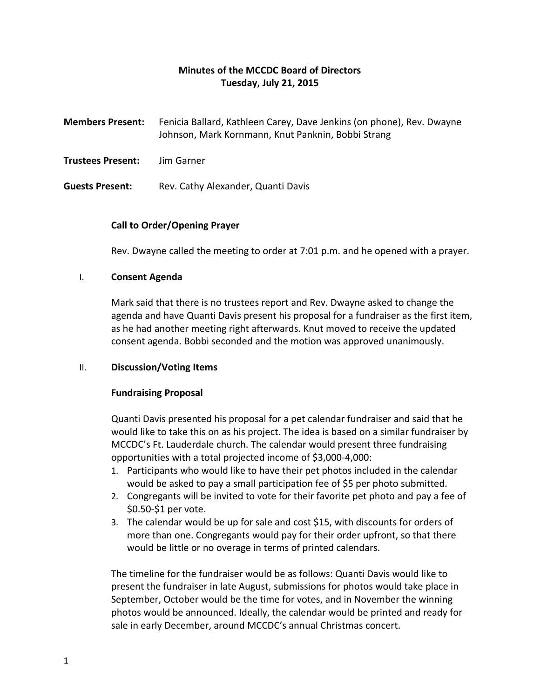# **Minutes of the MCCDC Board of Directors Tuesday, July 21, 2015**

| <b>Members Present:</b> | Fenicia Ballard, Kathleen Carey, Dave Jenkins (on phone), Rev. Dwayne<br>Johnson, Mark Kornmann, Knut Panknin, Bobbi Strang |
|-------------------------|-----------------------------------------------------------------------------------------------------------------------------|
| Trustees Present:       | Jim Garner                                                                                                                  |
| <b>Guests Present:</b>  | Rev. Cathy Alexander, Quanti Davis                                                                                          |

# **Call to Order/Opening Prayer**

Rev. Dwayne called the meeting to order at 7:01 p.m. and he opened with a prayer.

## I. **Consent Agenda**

Mark said that there is no trustees report and Rev. Dwayne asked to change the agenda and have Quanti Davis present his proposal for a fundraiser as the first item, as he had another meeting right afterwards. Knut moved to receive the updated consent agenda. Bobbi seconded and the motion was approved unanimously.

# II. **Discussion/Voting Items**

# **Fundraising Proposal**

Quanti Davis presented his proposal for a pet calendar fundraiser and said that he would like to take this on as his project. The idea is based on a similar fundraiser by MCCDC's Ft. Lauderdale church. The calendar would present three fundraising opportunities with a total projected income of \$3,000-4,000:

- 1. Participants who would like to have their pet photos included in the calendar would be asked to pay a small participation fee of \$5 per photo submitted.
- 2. Congregants will be invited to vote for their favorite pet photo and pay a fee of \$0.50-\$1 per vote.
- 3. The calendar would be up for sale and cost \$15, with discounts for orders of more than one. Congregants would pay for their order upfront, so that there would be little or no overage in terms of printed calendars.

The timeline for the fundraiser would be as follows: Quanti Davis would like to present the fundraiser in late August, submissions for photos would take place in September, October would be the time for votes, and in November the winning photos would be announced. Ideally, the calendar would be printed and ready for sale in early December, around MCCDC's annual Christmas concert.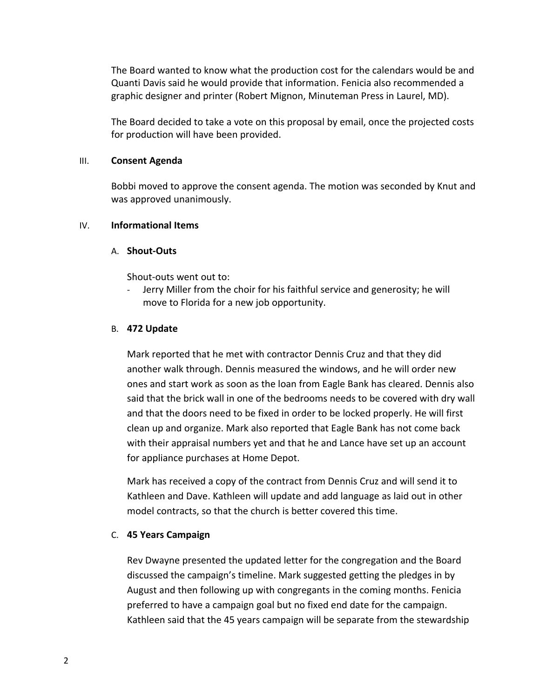The Board wanted to know what the production cost for the calendars would be and Quanti Davis said he would provide that information. Fenicia also recommended a graphic designer and printer (Robert Mignon, Minuteman Press in Laurel, MD).

The Board decided to take a vote on this proposal by email, once the projected costs for production will have been provided.

## III. **Consent Agenda**

Bobbi moved to approve the consent agenda. The motion was seconded by Knut and was approved unanimously.

## IV. **Informational Items**

## A. **Shout-Outs**

Shout-outs went out to:

Jerry Miller from the choir for his faithful service and generosity; he will move to Florida for a new job opportunity.

## B. **472 Update**

Mark reported that he met with contractor Dennis Cruz and that they did another walk through. Dennis measured the windows, and he will order new ones and start work as soon as the loan from Eagle Bank has cleared. Dennis also said that the brick wall in one of the bedrooms needs to be covered with dry wall and that the doors need to be fixed in order to be locked properly. He will first clean up and organize. Mark also reported that Eagle Bank has not come back with their appraisal numbers yet and that he and Lance have set up an account for appliance purchases at Home Depot.

Mark has received a copy of the contract from Dennis Cruz and will send it to Kathleen and Dave. Kathleen will update and add language as laid out in other model contracts, so that the church is better covered this time.

# C. **45 Years Campaign**

Rev Dwayne presented the updated letter for the congregation and the Board discussed the campaign's timeline. Mark suggested getting the pledges in by August and then following up with congregants in the coming months. Fenicia preferred to have a campaign goal but no fixed end date for the campaign. Kathleen said that the 45 years campaign will be separate from the stewardship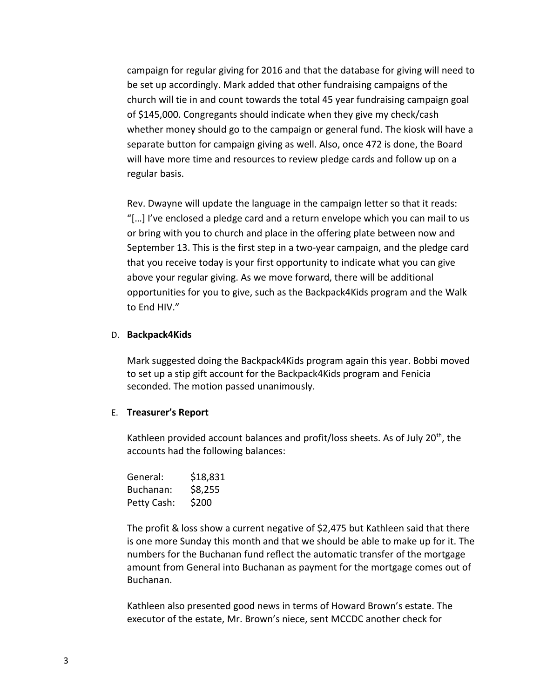campaign for regular giving for 2016 and that the database for giving will need to be set up accordingly. Mark added that other fundraising campaigns of the church will tie in and count towards the total 45 year fundraising campaign goal of \$145,000. Congregants should indicate when they give my check/cash whether money should go to the campaign or general fund. The kiosk will have a separate button for campaign giving as well. Also, once 472 is done, the Board will have more time and resources to review pledge cards and follow up on a regular basis.

Rev. Dwayne will update the language in the campaign letter so that it reads: "[…] I've enclosed a pledge card and a return envelope which you can mail to us or bring with you to church and place in the offering plate between now and September 13. This is the first step in a two-year campaign, and the pledge card that you receive today is your first opportunity to indicate what you can give above your regular giving. As we move forward, there will be additional opportunities for you to give, such as the Backpack4Kids program and the Walk to End HIV."

#### D. **Backpack4Kids**

Mark suggested doing the Backpack4Kids program again this year. Bobbi moved to set up a stip gift account for the Backpack4Kids program and Fenicia seconded. The motion passed unanimously.

#### E. **Treasurer's Report**

Kathleen provided account balances and profit/loss sheets. As of July  $20<sup>th</sup>$ , the accounts had the following balances:

| General:    | \$18,831 |
|-------------|----------|
| Buchanan:   | \$8,255  |
| Petty Cash: | \$200    |

The profit & loss show a current negative of \$2,475 but Kathleen said that there is one more Sunday this month and that we should be able to make up for it. The numbers for the Buchanan fund reflect the automatic transfer of the mortgage amount from General into Buchanan as payment for the mortgage comes out of Buchanan.

Kathleen also presented good news in terms of Howard Brown's estate. The executor of the estate, Mr. Brown's niece, sent MCCDC another check for